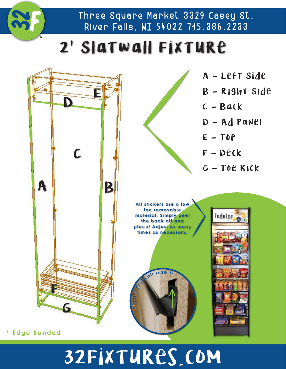

Three Square Market 3329 Casey St. River Falls, WI 54022 715.386.2233

### 2' Slatwall Fixture



# 32Fixtures.com